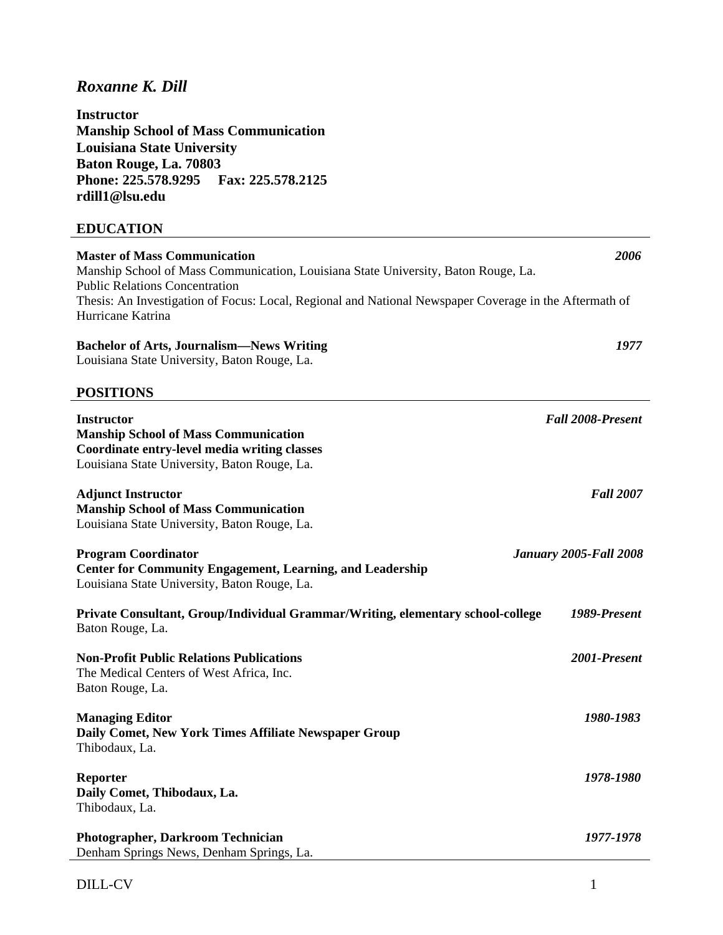# *Roxanne K. Dill*

**Instructor Manship School of Mass Communication Louisiana State University Baton Rouge, La. 70803 Phone: 225.578.9295 Fax: 225.578.2125 rdill1@lsu.edu** 

## **EDUCATION**

| <b>Master of Mass Communication</b><br>Manship School of Mass Communication, Louisiana State University, Baton Rouge, La.<br><b>Public Relations Concentration</b> | 2006                          |
|--------------------------------------------------------------------------------------------------------------------------------------------------------------------|-------------------------------|
| Thesis: An Investigation of Focus: Local, Regional and National Newspaper Coverage in the Aftermath of<br>Hurricane Katrina                                        |                               |
| <b>Bachelor of Arts, Journalism—News Writing</b><br>Louisiana State University, Baton Rouge, La.                                                                   | 1977                          |
| <b>POSITIONS</b>                                                                                                                                                   |                               |
| <b>Instructor</b><br><b>Manship School of Mass Communication</b><br>Coordinate entry-level media writing classes<br>Louisiana State University, Baton Rouge, La.   | <b>Fall 2008-Present</b>      |
| <b>Adjunct Instructor</b><br><b>Manship School of Mass Communication</b><br>Louisiana State University, Baton Rouge, La.                                           | <b>Fall 2007</b>              |
| <b>Program Coordinator</b><br><b>Center for Community Engagement, Learning, and Leadership</b><br>Louisiana State University, Baton Rouge, La.                     | <b>January 2005-Fall 2008</b> |
| Private Consultant, Group/Individual Grammar/Writing, elementary school-college<br>Baton Rouge, La.                                                                | 1989-Present                  |
| <b>Non-Profit Public Relations Publications</b><br>The Medical Centers of West Africa, Inc.<br>Baton Rouge, La.                                                    | 2001-Present                  |
| <b>Managing Editor</b><br>Daily Comet, New York Times Affiliate Newspaper Group<br>Thibodaux, La.                                                                  | 1980-1983                     |
| <b>Reporter</b><br>Daily Comet, Thibodaux, La.<br>Thibodaux, La.                                                                                                   | 1978-1980                     |
| Photographer, Darkroom Technician<br>Denham Springs News, Denham Springs, La.                                                                                      | 1977-1978                     |